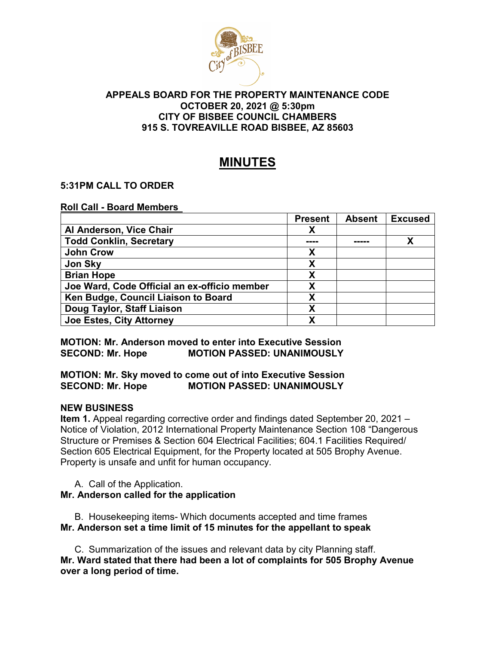

### **APPEALS BOARD FOR THE PROPERTY MAINTENANCE CODE OCTOBER 20, 2021 @ 5:30pm CITY OF BISBEE COUNCIL CHAMBERS 915 S. TOVREAVILLE ROAD BISBEE, AZ 85603**

# **MINUTES**

## **5:31PM CALL TO ORDER**

**Roll Call - Board Members** 

|                                              | <b>Present</b> | <b>Absent</b> | <b>Excused</b> |
|----------------------------------------------|----------------|---------------|----------------|
| Al Anderson, Vice Chair                      | Χ              |               |                |
| <b>Todd Conklin, Secretary</b>               |                |               |                |
| <b>John Crow</b>                             | X              |               |                |
| <b>Jon Sky</b>                               | X              |               |                |
| <b>Brian Hope</b>                            | Χ              |               |                |
| Joe Ward, Code Official an ex-officio member | Χ              |               |                |
| Ken Budge, Council Liaison to Board          | χ              |               |                |
| Doug Taylor, Staff Liaison                   | X              |               |                |
| <b>Joe Estes, City Attorney</b>              | Χ              |               |                |

**MOTION: Mr. Anderson moved to enter into Executive Session SECOND: Mr. Hope MOTION PASSED: UNANIMOUSLY** 

## **MOTION: Mr. Sky moved to come out of into Executive Session MOTION PASSED: UNANIMOUSLY**

## **NEW BUSINESS**

**Item 1.** Appeal regarding corrective order and findings dated September 20, 2021 – Notice of Violation, 2012 International Property Maintenance Section 108 "Dangerous Structure or Premises & Section 604 Electrical Facilities; 604.1 Facilities Required/ Section 605 Electrical Equipment, for the Property located at 505 Brophy Avenue. Property is unsafe and unfit for human occupancy.

A. Call of the Application. **Mr. Anderson called for the application** 

B. Housekeeping items- Which documents accepted and time frames **Mr. Anderson set a time limit of 15 minutes for the appellant to speak** 

C. Summarization of the issues and relevant data by city Planning staff. **Mr. Ward stated that there had been a lot of complaints for 505 Brophy Avenue over a long period of time.**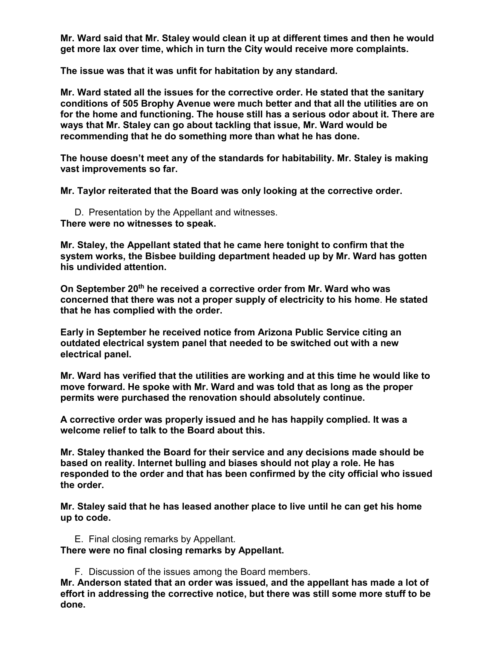**Mr. Ward said that Mr. Staley would clean it up at different times and then he would get more lax over time, which in turn the City would receive more complaints.** 

**The issue was that it was unfit for habitation by any standard.** 

**Mr. Ward stated all the issues for the corrective order. He stated that the sanitary conditions of 505 Brophy Avenue were much better and that all the utilities are on for the home and functioning. The house still has a serious odor about it. There are ways that Mr. Staley can go about tackling that issue, Mr. Ward would be recommending that he do something more than what he has done.** 

**The house doesn't meet any of the standards for habitability. Mr. Staley is making vast improvements so far.** 

**Mr. Taylor reiterated that the Board was only looking at the corrective order.** 

D. Presentation by the Appellant and witnesses. **There were no witnesses to speak.** 

**Mr. Staley, the Appellant stated that he came here tonight to confirm that the system works, the Bisbee building department headed up by Mr. Ward has gotten his undivided attention.** 

**On September 20th he received a corrective order from Mr. Ward who was concerned that there was not a proper supply of electricity to his home**. **He stated that he has complied with the order.** 

**Early in September he received notice from Arizona Public Service citing an outdated electrical system panel that needed to be switched out with a new electrical panel.** 

**Mr. Ward has verified that the utilities are working and at this time he would like to move forward. He spoke with Mr. Ward and was told that as long as the proper permits were purchased the renovation should absolutely continue.** 

**A corrective order was properly issued and he has happily complied. It was a welcome relief to talk to the Board about this.** 

**Mr. Staley thanked the Board for their service and any decisions made should be based on reality. Internet bulling and biases should not play a role. He has responded to the order and that has been confirmed by the city official who issued the order.** 

**Mr. Staley said that he has leased another place to live until he can get his home up to code.** 

E. Final closing remarks by Appellant. **There were no final closing remarks by Appellant.** 

F. Discussion of the issues among the Board members.

**Mr. Anderson stated that an order was issued, and the appellant has made a lot of effort in addressing the corrective notice, but there was still some more stuff to be done.**